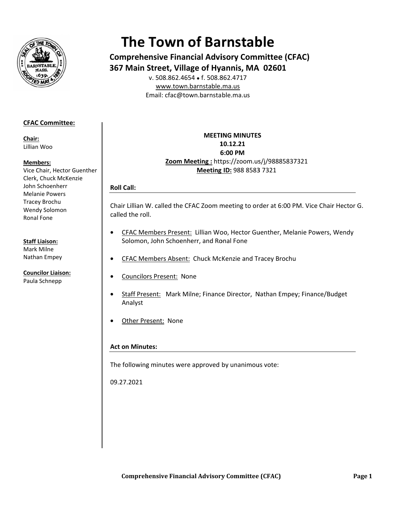

# **The Town of Barnstable**

**Comprehensive Financial Advisory Committee (CFAC) 367 Main Street, Village of Hyannis, MA 02601** 

E Email: cfac@t town.barnsta ble.ma.us v. 508.862.46 654 ● f. 508.8 862.4717 www.town.barnstable.ma.us

## **CFAC C Committee: :**

**Chair r:**  Lillian n Woo

#### **Mem mbers:**

Vice C Chair, Hector G Guenther Clerk, Chuck McKenzie John Schoenherr Mela nie Powers Trace ey Brochu Wend dy Solomon Rona l Fone

### **Staff Liaison:**

Mark k Milne Natha an Empey

**Coun cilor Liaison:**  Paula a Schnepp

**Zoom M Meeting :** htt tps://zoom.us s/j/98885837 7321 **MEETI ING MINUTES S1 10.12.21 6 6:00 PM Meeting ID:** 988 8583 3 7321

# **R Roll Call:**

Chair Lillian W. called the CFAC Zoom meeting to order at 6:00 PM. Vice Chair Hector G. c called the rol l.

- • CFAC Members Present: Lillian Woo, Hector Guenther, Melanie Powers, Wendy Solomon, John Schoenherr, and Ronal Fone
- • CFAC Members Absent: Chuck McKenzie and Tracey Brochu
- **•** Councilors Present: None
- • Staff Present: Mark Milne; Finance Director, Nathan Empey; Finance/Budget Analyst
- • Other Present: None

## **A Act on Minut tes:**

The following minutes were approved by unanimous vote:

0 09.27.2021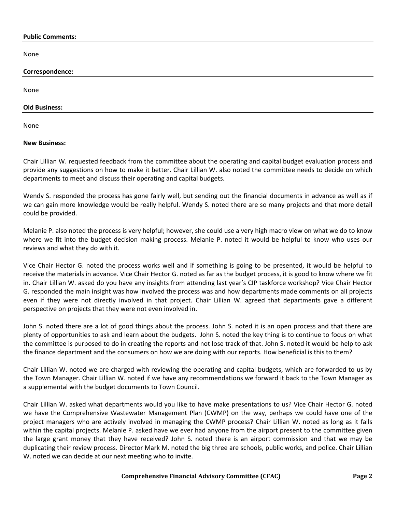#### **Public Comments:**

None

| Correspondence:      |  |
|----------------------|--|
|                      |  |
| None                 |  |
|                      |  |
| <b>Old Business:</b> |  |
|                      |  |
| None                 |  |
|                      |  |
| <b>New Business:</b> |  |

Chair Lillian W. requested feedback from the committee about the operating and capital budget evaluation process and provide any suggestions on how to make it better. Chair Lillian W. also noted the committee needs to decide on which departments to meet and discuss their operating and capital budgets.

Wendy S. responded the process has gone fairly well, but sending out the financial documents in advance as well as if we can gain more knowledge would be really helpful. Wendy S. noted there are so many projects and that more detail could be provided.

Melanie P. also noted the process is very helpful; however, she could use a very high macro view on what we do to know where we fit into the budget decision making process. Melanie P. noted it would be helpful to know who uses our reviews and what they do with it.

Vice Chair Hector G. noted the process works well and if something is going to be presented, it would be helpful to receive the materials in advance. Vice Chair Hector G. noted as far as the budget process, it is good to know where we fit in. Chair Lillian W. asked do you have any insights from attending last year's CIP taskforce workshop? Vice Chair Hector G. responded the main insight was how involved the process was and how departments made comments on all projects even if they were not directly involved in that project. Chair Lillian W. agreed that departments gave a different perspective on projects that they were not even involved in.

John S. noted there are a lot of good things about the process. John S. noted it is an open process and that there are plenty of opportunities to ask and learn about the budgets. John S. noted the key thing is to continue to focus on what the committee is purposed to do in creating the reports and not lose track of that. John S. noted it would be help to ask the finance department and the consumers on how we are doing with our reports. How beneficial is this to them?

Chair Lillian W. noted we are charged with reviewing the operating and capital budgets, which are forwarded to us by the Town Manager. Chair Lillian W. noted if we have any recommendations we forward it back to the Town Manager as a supplemental with the budget documents to Town Council.

Chair Lillian W. asked what departments would you like to have make presentations to us? Vice Chair Hector G. noted we have the Comprehensive Wastewater Management Plan (CWMP) on the way, perhaps we could have one of the project managers who are actively involved in managing the CWMP process? Chair Lillian W. noted as long as it falls within the capital projects. Melanie P. asked have we ever had anyone from the airport present to the committee given the large grant money that they have received? John S. noted there is an airport commission and that we may be duplicating their review process. Director Mark M. noted the big three are schools, public works, and police. Chair Lillian W. noted we can decide at our next meeting who to invite.